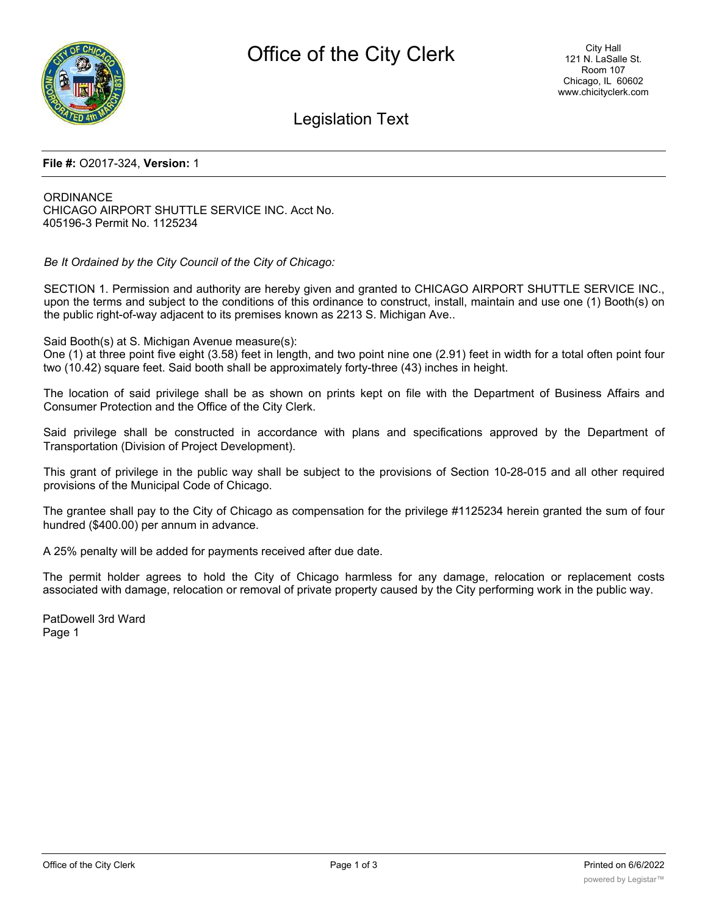

## Legislation Text

## **File #:** O2017-324, **Version:** 1

ORDINANCE CHICAGO AIRPORT SHUTTLE SERVICE INC. Acct No. 405196-3 Permit No. 1125234

*Be It Ordained by the City Council of the City of Chicago:*

SECTION 1. Permission and authority are hereby given and granted to CHICAGO AIRPORT SHUTTLE SERVICE INC., upon the terms and subject to the conditions of this ordinance to construct, install, maintain and use one (1) Booth(s) on the public right-of-way adjacent to its premises known as 2213 S. Michigan Ave..

Said Booth(s) at S. Michigan Avenue measure(s):

One (1) at three point five eight (3.58) feet in length, and two point nine one (2.91) feet in width for a total often point four two (10.42) square feet. Said booth shall be approximately forty-three (43) inches in height.

The location of said privilege shall be as shown on prints kept on file with the Department of Business Affairs and Consumer Protection and the Office of the City Clerk.

Said privilege shall be constructed in accordance with plans and specifications approved by the Department of Transportation (Division of Project Development).

This grant of privilege in the public way shall be subject to the provisions of Section 10-28-015 and all other required provisions of the Municipal Code of Chicago.

The grantee shall pay to the City of Chicago as compensation for the privilege #1125234 herein granted the sum of four hundred (\$400.00) per annum in advance.

A 25% penalty will be added for payments received after due date.

The permit holder agrees to hold the City of Chicago harmless for any damage, relocation or replacement costs associated with damage, relocation or removal of private property caused by the City performing work in the public way.

PatDowell 3rd Ward Page 1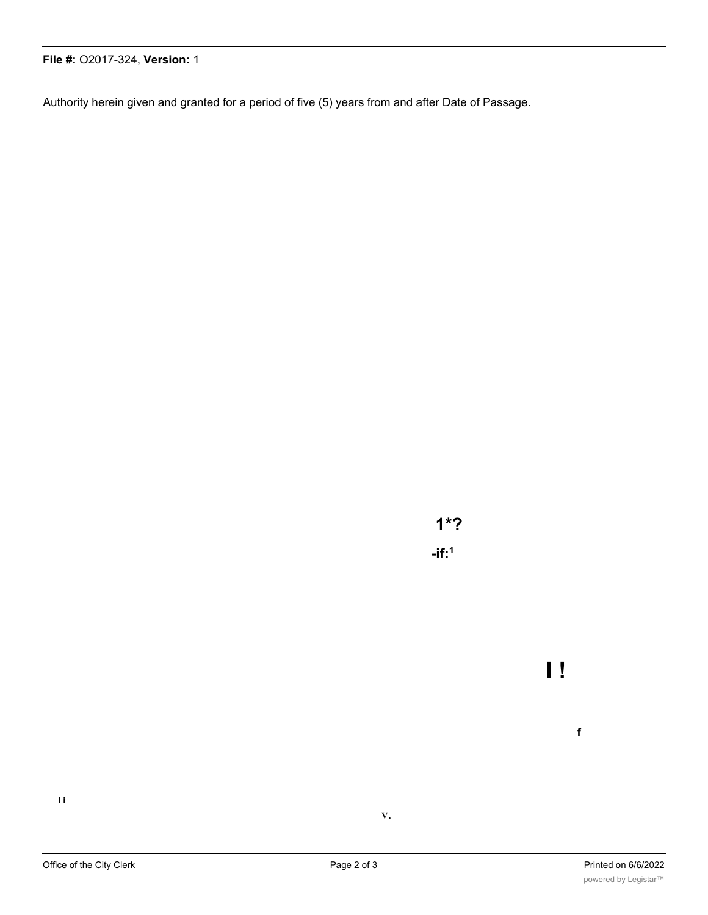Authority herein given and granted for a period of five (5) years from and after Date of Passage.

**1\*? -if:1**

**I i**

**I !**

**f**